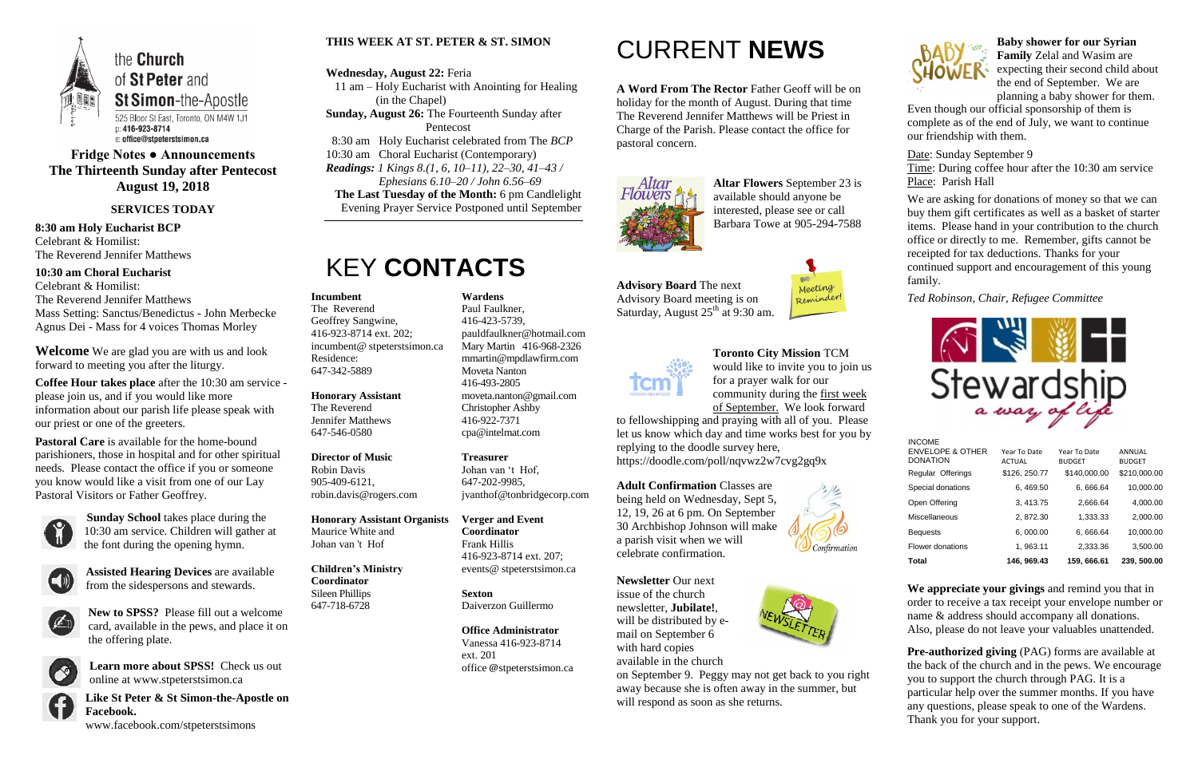

#### **Fridge Notes ● Announcements The Thirteenth Sunday after Pentecost August 19, 2018**

#### **SERVICES TODAY**

**8:30 am Holy Eucharist BCP** Celebrant & Homilist: The Reverend Jennifer Matthews

**10:30 am Choral Eucharist** Celebrant & Homilist: The Reverend Jennifer Matthews Mass Setting: Sanctus/Benedictus - John Merbecke Agnus Dei - Mass for 4 voices Thomas Morley

**Welcome** We are glad you are with us and look forward to meeting you after the liturgy.

**Coffee Hour takes place** after the 10:30 am service please join us, and if you would like more information about our parish life please speak with our priest or one of the greeters.

**Pastoral Care** is available for the home-bound parishioners, those in hospital and for other spiritual needs. Please contact the office if you or someone you know would like a visit from one of our Lay Pastoral Visitors or Father Geoffrey.



**Sunday School** takes place during the 10:30 am service. Children will gather at the font during the opening hymn.



**Assisted Hearing Devices** are available from the sidespersons and stewards.



**Advisory Board** The next Advisory Board meeting is on Saturday, August 25<sup>th</sup> at 9:30 am.



**New to SPSS?** Please fill out a welcome card, available in the pews, and place it on the offering plate.



**Learn more about SPSS!** Check us out online at www.stpeterstsimon.ca

**Like St Peter & St Simon-the-Apostle on Facebook.**  www.facebook.com/stpeterstsimons

#### **THIS WEEK AT ST. PETER & ST. SIMON**

#### **Wednesday, August 22:** Feria

 11 am – Holy Eucharist with Anointing for Healing (in the Chapel)

- **Sunday, August 26:** The Fourteenth Sunday after Pentecost
- 8:30 am Holy Eucharist celebrated from The *BCP*

10:30 am Choral Eucharist (Contemporary) *Readings: 1 Kings 8.(1, 6, 10–11), 22–30, 41–43 / Ephesians 6.10–20 / John 6.56–69*

**The Last Tuesday of the Month:** 6 pm Candlelight Evening Prayer Service Postponed until September

### KEY **CONTACTS**

## CURRENT **NEWS**

**A Word From The Rector** Father Geoff will be on holiday for the month of August. During that time The Reverend Jennifer Matthews will be Priest in Charge of the Parish. Please contact the office for pastoral concern.



**Altar Flowers** September 23 is available should anyone be interested, please see or call Barbara Towe at 905-294-7588

> **Pre-authorized giving (PAG) forms are available at** the back of the church and in the pews. We encourage you to support the church through PAG. It is a particular help over the summer months. If you have any questions, please speak to one of the Wardens. Thank you for your support.

**Toronto City Mission** TCM would like to invite you to join us for a prayer walk for our community during the first week

of September. We look forward to fellowshipping and praying with all of you. Please let us know which day and time works best for you by replying to the doodle survey here,

https://doodle.com/poll/nqvwz2w7cvg2gq9x

**Adult Confirmation** Classes are being held on Wednesday, Sept 5, 12, 19, 26 at 6 pm. On September 30 Archbishop Johnson will make a parish visit when we will celebrate confirmation.



**Newsletter** Our next issue of the church newsletter, **Jubilate!**, will be distributed by email on September 6 with hard copies

available in the church on September 9. Peggy may not get back to you right away because she is often away in the summer, but will respond as soon as she returns.





**Baby shower for our Syrian Family** Zelal and Wasim are expecting their second child about the end of September. We are planning a baby shower for them.

Even though our official sponsorship of them is complete as of the end of July, we want to continue our friendship with them.

Date: Sunday September 9 Time: During coffee hour after the 10:30 am service Place: Parish Hall

We are asking for donations of money so that we can buy them gift certificates as well as a basket of starter items. Please hand in your contribution to the church office or directly to me. Remember, gifts cannot be receipted for tax deductions. Thanks for your continued support and encouragement of this young family.

*Ted Robinson, Chair, Refugee Committee*



**We appreciate your givings** and remind you that in order to receive a tax receipt your envelope number or name & address should accompany all donations. Also, please do not leave your valuables unattended.

#### **Incumbent**

The Reverend Geoffrey Sangwine, 416-923-8714 ext. 202; incumbent@ stpeterstsimon.ca Residence: 647-342-5889

**Honorary Assistant** The Reverend Jennifer Matthews 647-546-0580

#### **Director of Music**  Robin Davis 905-409-6121, robin.davis@rogers.com

**Honorary Assistant Organists**  Maurice White and Johan van 't Hof

#### **Children's Ministry Coordinator** Sileen Phillips 647-718-6728

#### **Wardens**  Paul Faulkner, 416-423-5739, [pauldfaulkner@hotmail.com](mailto:pauldfaulkner@hotmail.com)  Mary Martin 416-968-2326 mmartin@mpdlawfirm.com Moveta Nanton 416-493-2805 moveta.nanton@gmail.com Christopher Ashby 416-922-7371 cpa@intelmat.com

**Treasurer**  Johan van 't Hof, 647-202-9985, jvanthof@tonbridgecorp.com

**Verger and Event Coordinator** Frank Hillis 416-923-8714 ext. 207; events@ stpeterstsimon.ca

**Sexton** Daiverzon Guillermo

**Office Administrator** Vanessa 416-923-8714 ext. 201

office @stpeterstsimon.ca

INCOME

| 3,500.00      |
|---------------|
| 10,000.00     |
| 2,000.00      |
| 4,000.00      |
| 10,000.00     |
| \$210,000.00  |
| ANNUAL        |
| <b>BUDGET</b> |